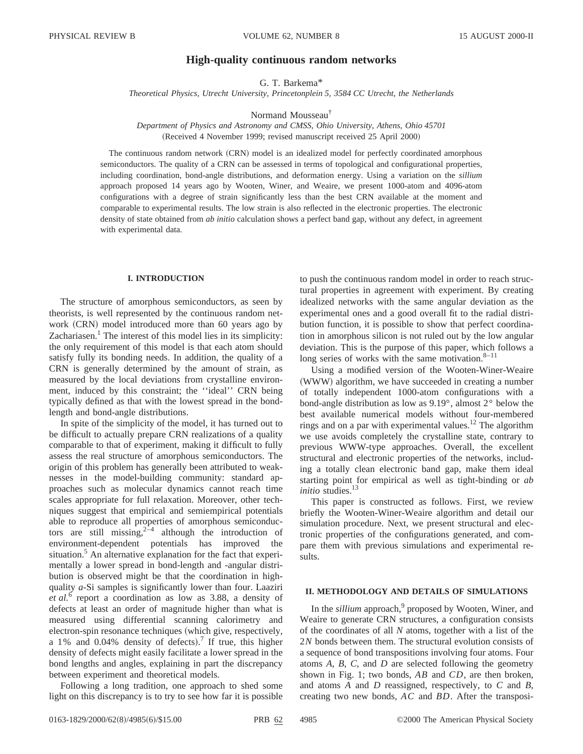# **High-quality continuous random networks**

G. T. Barkema\*

*Theoretical Physics, Utrecht University, Princetonplein 5, 3584 CC Utrecht, the Netherlands*

Normand Mousseau†

*Department of Physics and Astronomy and CMSS, Ohio University, Athens, Ohio 45701* (Received 4 November 1999; revised manuscript received 25 April 2000)

The continuous random network (CRN) model is an idealized model for perfectly coordinated amorphous semiconductors. The quality of a CRN can be assessed in terms of topological and configurational properties, including coordination, bond-angle distributions, and deformation energy. Using a variation on the *sillium* approach proposed 14 years ago by Wooten, Winer, and Weaire, we present 1000-atom and 4096-atom configurations with a degree of strain significantly less than the best CRN available at the moment and comparable to experimental results. The low strain is also reflected in the electronic properties. The electronic density of state obtained from *ab initio* calculation shows a perfect band gap, without any defect, in agreement with experimental data.

### **I. INTRODUCTION**

The structure of amorphous semiconductors, as seen by theorists, is well represented by the continuous random network (CRN) model introduced more than 60 years ago by Zachariasen. $<sup>1</sup>$  The interest of this model lies in its simplicity:</sup> the only requirement of this model is that each atom should satisfy fully its bonding needs. In addition, the quality of a CRN is generally determined by the amount of strain, as measured by the local deviations from crystalline environment, induced by this constraint; the ''ideal'' CRN being typically defined as that with the lowest spread in the bondlength and bond-angle distributions.

In spite of the simplicity of the model, it has turned out to be difficult to actually prepare CRN realizations of a quality comparable to that of experiment, making it difficult to fully assess the real structure of amorphous semiconductors. The origin of this problem has generally been attributed to weaknesses in the model-building community: standard approaches such as molecular dynamics cannot reach time scales appropriate for full relaxation. Moreover, other techniques suggest that empirical and semiempirical potentials able to reproduce all properties of amorphous semiconductors are still missing,  $2^{2}$  although the introduction of environment-dependent potentials has improved the situation.<sup>5</sup> An alternative explanation for the fact that experimentally a lower spread in bond-length and -angular distribution is observed might be that the coordination in highquality *a*-Si samples is significantly lower than four. Laaziri *et al.*<sup>6</sup> report a coordination as low as 3.88, a density of defects at least an order of magnitude higher than what is measured using differential scanning calorimetry and electron-spin resonance techniques (which give, respectively, a 1% and 0.04% density of defects).<sup>7</sup> If true, this higher density of defects might easily facilitate a lower spread in the bond lengths and angles, explaining in part the discrepancy between experiment and theoretical models.

Following a long tradition, one approach to shed some light on this discrepancy is to try to see how far it is possible to push the continuous random model in order to reach structural properties in agreement with experiment. By creating idealized networks with the same angular deviation as the experimental ones and a good overall fit to the radial distribution function, it is possible to show that perfect coordination in amorphous silicon is not ruled out by the low angular deviation. This is the purpose of this paper, which follows a long series of works with the same motivation. $8-11$ 

Using a modified version of the Wooten-Winer-Weaire (WWW) algorithm, we have succeeded in creating a number of totally independent 1000-atom configurations with a bond-angle distribution as low as 9.19°, almost 2° below the best available numerical models without four-membered rings and on a par with experimental values.<sup>12</sup> The algorithm we use avoids completely the crystalline state, contrary to previous WWW-type approaches. Overall, the excellent structural and electronic properties of the networks, including a totally clean electronic band gap, make them ideal starting point for empirical as well as tight-binding or *ab initio* studies.<sup>13</sup>

This paper is constructed as follows. First, we review briefly the Wooten-Winer-Weaire algorithm and detail our simulation procedure. Next, we present structural and electronic properties of the configurations generated, and compare them with previous simulations and experimental results.

## **II. METHODOLOGY AND DETAILS OF SIMULATIONS**

In the *sillium* approach,<sup>9</sup> proposed by Wooten, Winer, and Weaire to generate CRN structures, a configuration consists of the coordinates of all *N* atoms, together with a list of the 2*N* bonds between them. The structural evolution consists of a sequence of bond transpositions involving four atoms. Four atoms *A*, *B*, *C*, and *D* are selected following the geometry shown in Fig. 1; two bonds, *AB* and *CD*, are then broken, and atoms *A* and *D* reassigned, respectively, to *C* and *B*, creating two new bonds, *AC* and *BD*. After the transposi-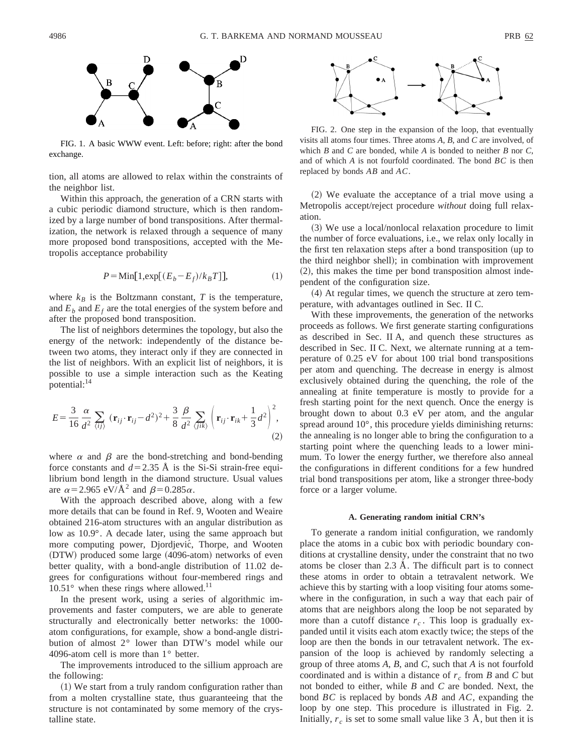

FIG. 1. A basic WWW event. Left: before; right: after the bond exchange.

tion, all atoms are allowed to relax within the constraints of the neighbor list.

Within this approach, the generation of a CRN starts with a cubic periodic diamond structure, which is then randomized by a large number of bond transpositions. After thermalization, the network is relaxed through a sequence of many more proposed bond transpositions, accepted with the Metropolis acceptance probability

$$
P = \text{Min}[1, \exp[(E_b - E_f)/k_B T]], \tag{1}
$$

where  $k_B$  is the Boltzmann constant,  $T$  is the temperature, and  $E<sub>b</sub>$  and  $E<sub>f</sub>$  are the total energies of the system before and after the proposed bond transposition.

The list of neighbors determines the topology, but also the energy of the network: independently of the distance between two atoms, they interact only if they are connected in the list of neighbors. With an explicit list of neighbors, it is possible to use a simple interaction such as the Keating potential:<sup>14</sup>

$$
E = \frac{3}{16} \frac{\alpha}{d^2} \sum_{\langle ij \rangle} (\mathbf{r}_{ij} \cdot \mathbf{r}_{ij} - d^2)^2 + \frac{3}{8} \frac{\beta}{d^2} \sum_{\langle jik \rangle} \left( \mathbf{r}_{ij} \cdot \mathbf{r}_{ik} + \frac{1}{3} d^2 \right)^2,
$$
\n(2)

where  $\alpha$  and  $\beta$  are the bond-stretching and bond-bending force constants and  $d=2.35$  Å is the Si-Si strain-free equilibrium bond length in the diamond structure. Usual values are  $\alpha$ =2.965 eV/Å<sup>2</sup> and  $\beta$ =0.285 $\alpha$ .

With the approach described above, along with a few more details that can be found in Ref. 9, Wooten and Weaire obtained 216-atom structures with an angular distribution as low as 10.9°. A decade later, using the same approach but more computing power, Djordjević, Thorpe, and Wooten (DTW) produced some large (4096-atom) networks of even better quality, with a bond-angle distribution of 11.02 degrees for configurations without four-membered rings and  $10.51^{\circ}$  when these rings where allowed.<sup>11</sup>

In the present work, using a series of algorithmic improvements and faster computers, we are able to generate structurally and electronically better networks: the 1000 atom configurations, for example, show a bond-angle distribution of almost 2° lower than DTW's model while our 4096-atom cell is more than 1° better.

The improvements introduced to the sillium approach are the following:

 $(1)$  We start from a truly random configuration rather than from a molten crystalline state, thus guaranteeing that the structure is not contaminated by some memory of the crystalline state.



FIG. 2. One step in the expansion of the loop, that eventually visits all atoms four times. Three atoms *A*, *B*, and *C* are involved, of which *B* and *C* are bonded, while *A* is bonded to neither *B* nor *C*, and of which *A* is not fourfold coordinated. The bond *BC* is then replaced by bonds *AB* and *AC*.

 $(2)$  We evaluate the acceptance of a trial move using a Metropolis accept/reject procedure *without* doing full relaxation.

~3! We use a local/nonlocal relaxation procedure to limit the number of force evaluations, i.e., we relax only locally in the first ten relaxation steps after a bond transposition  $(\text{up to}$ the third neighbor shell); in combination with improvement  $(2)$ , this makes the time per bond transposition almost independent of the configuration size.

 $(4)$  At regular times, we quench the structure at zero temperature, with advantages outlined in Sec. II C.

With these improvements, the generation of the networks proceeds as follows. We first generate starting configurations as described in Sec. II A, and quench these structures as described in Sec. II C. Next, we alternate running at a temperature of 0.25 eV for about 100 trial bond transpositions per atom and quenching. The decrease in energy is almost exclusively obtained during the quenching, the role of the annealing at finite temperature is mostly to provide for a fresh starting point for the next quench. Once the energy is brought down to about 0.3 eV per atom, and the angular spread around 10°, this procedure yields diminishing returns: the annealing is no longer able to bring the configuration to a starting point where the quenching leads to a lower minimum. To lower the energy further, we therefore also anneal the configurations in different conditions for a few hundred trial bond transpositions per atom, like a stronger three-body force or a larger volume.

#### **A. Generating random initial CRN's**

To generate a random initial configuration, we randomly place the atoms in a cubic box with periodic boundary conditions at crystalline density, under the constraint that no two atoms be closer than 2.3 Å. The difficult part is to connect these atoms in order to obtain a tetravalent network. We achieve this by starting with a loop visiting four atoms somewhere in the configuration, in such a way that each pair of atoms that are neighbors along the loop be not separated by more than a cutoff distance  $r_c$ . This loop is gradually expanded until it visits each atom exactly twice; the steps of the loop are then the bonds in our tetravalent network. The expansion of the loop is achieved by randomly selecting a group of three atoms *A*, *B*, and *C*, such that *A* is not fourfold coordinated and is within a distance of  $r_c$  from *B* and *C* but not bonded to either, while *B* and *C* are bonded. Next, the bond *BC* is replaced by bonds *AB* and *AC*, expanding the loop by one step. This procedure is illustrated in Fig. 2. Initially,  $r_c$  is set to some small value like 3  $\AA$ , but then it is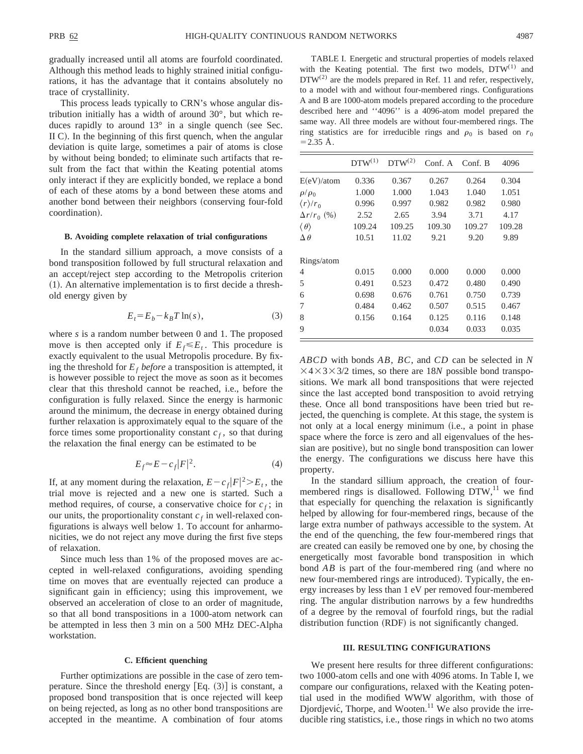gradually increased until all atoms are fourfold coordinated. Although this method leads to highly strained initial configurations, it has the advantage that it contains absolutely no trace of crystallinity.

This process leads typically to CRN's whose angular distribution initially has a width of around 30°, but which reduces rapidly to around  $13^\circ$  in a single quench (see Sec. II C). In the beginning of this first quench, when the angular deviation is quite large, sometimes a pair of atoms is close by without being bonded; to eliminate such artifacts that result from the fact that within the Keating potential atoms only interact if they are explicitly bonded, we replace a bond of each of these atoms by a bond between these atoms and another bond between their neighbors (conserving four-fold coordination).

#### **B. Avoiding complete relaxation of trial configurations**

In the standard sillium approach, a move consists of a bond transposition followed by full structural relaxation and an accept/reject step according to the Metropolis criterion  $(1)$ . An alternative implementation is to first decide a threshold energy given by

$$
E_t = E_b - k_B T \ln(s),\tag{3}
$$

where *s* is a random number between 0 and 1. The proposed move is then accepted only if  $E_f \leq E_t$ . This procedure is exactly equivalent to the usual Metropolis procedure. By fixing the threshold for  $E_f$  *before* a transposition is attempted, it is however possible to reject the move as soon as it becomes clear that this threshold cannot be reached, i.e., before the configuration is fully relaxed. Since the energy is harmonic around the minimum, the decrease in energy obtained during further relaxation is approximately equal to the square of the force times some proportionality constant  $c_f$ , so that during the relaxation the final energy can be estimated to be

$$
E_f \approx E - c_f |F|^2. \tag{4}
$$

If, at any moment during the relaxation,  $E - c_f |F|^2 > E_t$ , the trial move is rejected and a new one is started. Such a method requires, of course, a conservative choice for  $c_f$ ; in our units, the proportionality constant  $c_f$  in well-relaxed configurations is always well below 1. To account for anharmonicities, we do not reject any move during the first five steps of relaxation.

Since much less than 1% of the proposed moves are accepted in well-relaxed configurations, avoiding spending time on moves that are eventually rejected can produce a significant gain in efficiency; using this improvement, we observed an acceleration of close to an order of magnitude, so that all bond transpositions in a 1000-atom network can be attempted in less then 3 min on a 500 MHz DEC-Alpha workstation.

### **C. Efficient quenching**

Further optimizations are possible in the case of zero temperature. Since the threshold energy  $[Eq. (3)]$  is constant, a proposed bond transposition that is once rejected will keep on being rejected, as long as no other bond transpositions are accepted in the meantime. A combination of four atoms

TABLE I. Energetic and structural properties of models relaxed with the Keating potential. The first two models,  $DTW^{(1)}$  and  $DTW^{(2)}$  are the models prepared in Ref. 11 and refer, respectively, to a model with and without four-membered rings. Configurations A and B are 1000-atom models prepared according to the procedure described here and ''4096'' is a 4096-atom model prepared the same way. All three models are without four-membered rings. The ring statistics are for irreducible rings and  $\rho_0$  is based on  $r_0$  $=$  2.35 Å.

| $DTW^{(1)}$ | $DTW^{(2)}$ | Conf. A | Conf. B | 4096   |  |
|-------------|-------------|---------|---------|--------|--|
| 0.336       | 0.367       | 0.267   | 0.264   | 0.304  |  |
| 1.000       | 1.000       | 1.043   | 1.040   | 1.051  |  |
| 0.996       | 0.997       | 0.982   | 0.982   | 0.980  |  |
| 2.52        | 2.65        | 3.94    | 3.71    | 4.17   |  |
| 109.24      | 109.25      | 109.30  | 109.27  | 109.28 |  |
| 10.51       | 11.02       | 9.21    | 9.20    | 9.89   |  |
|             |             |         |         |        |  |
| 0.015       | 0.000       | 0.000   | 0.000   | 0.000  |  |
| 0.491       | 0.523       | 0.472   | 0.480   | 0.490  |  |
| 0.698       | 0.676       | 0.761   | 0.750   | 0.739  |  |
| 0.484       | 0.462       | 0.507   | 0.515   | 0.467  |  |
| 0.156       | 0.164       | 0.125   | 0.116   | 0.148  |  |
|             |             | 0.034   | 0.033   | 0.035  |  |
|             |             |         |         |        |  |

*ABCD* with bonds *AB*, *BC*, and *CD* can be selected in *N*  $\times$ 4 $\times$ 3 $\times$ 3/2 times, so there are 18*N* possible bond transpositions. We mark all bond transpositions that were rejected since the last accepted bond transposition to avoid retrying these. Once all bond transpositions have been tried but rejected, the quenching is complete. At this stage, the system is not only at a local energy minimum (i.e., a point in phase space where the force is zero and all eigenvalues of the hessian are positive), but no single bond transposition can lower the energy. The configurations we discuss here have this property.

In the standard sillium approach, the creation of fourmembered rings is disallowed. Following  $DTW$ ,<sup>11</sup> we find that especially for quenching the relaxation is significantly helped by allowing for four-membered rings, because of the large extra number of pathways accessible to the system. At the end of the quenching, the few four-membered rings that are created can easily be removed one by one, by chosing the energetically most favorable bond transposition in which bond  $\overline{AB}$  is part of the four-membered ring (and where no new four-membered rings are introduced). Typically, the energy increases by less than 1 eV per removed four-membered ring. The angular distribution narrows by a few hundredths of a degree by the removal of fourfold rings, but the radial distribution function (RDF) is not significantly changed.

### **III. RESULTING CONFIGURATIONS**

We present here results for three different configurations: two 1000-atom cells and one with 4096 atoms. In Table I, we compare our configurations, relaxed with the Keating potential used in the modified WWW algorithm, with those of Djordjević, Thorpe, and Wooten.<sup>11</sup> We also provide the irreducible ring statistics, i.e., those rings in which no two atoms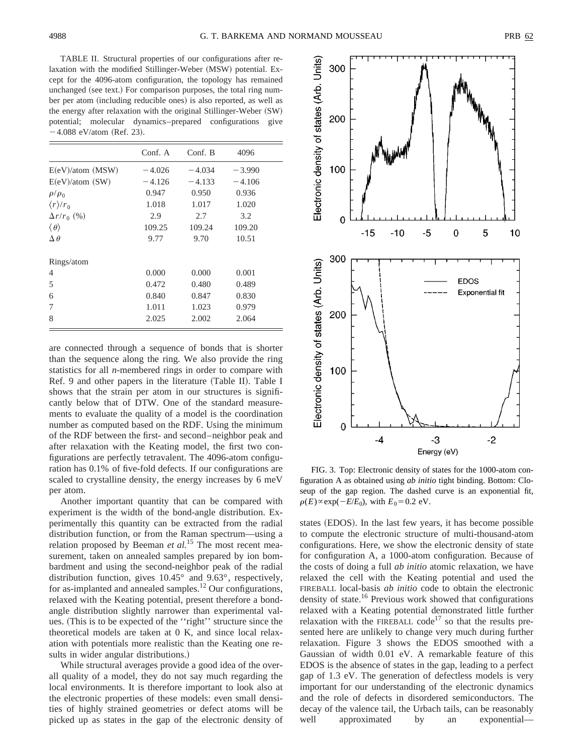TABLE II. Structural properties of our configurations after relaxation with the modified Stillinger-Weber (MSW) potential. Except for the 4096-atom configuration, the topology has remained unchanged (see text.) For comparison purposes, the total ring number per atom (including reducible ones) is also reported, as well as the energy after relaxation with the original Stillinger-Weber  $(SW)$ potential; molecular dynamics–prepared configurations give  $-4.088$  eV/atom (Ref. 23).

|                           | Conf. A  | Conf. B  | 4096     |
|---------------------------|----------|----------|----------|
| $E(eV)/atom$ (MSW)        | $-4.026$ | $-4.034$ | $-3.990$ |
| $E(eV)/atom$ (SW)         | $-4.126$ | $-4.133$ | $-4.106$ |
| $\rho/\rho_0$             | 0.947    | 0.950    | 0.936    |
| $\langle r \rangle / r_0$ | 1.018    | 1.017    | 1.020    |
| $\Delta r/r_0$ (%)        | 2.9      | 2.7      | 3.2      |
| $\langle \theta \rangle$  | 109.25   | 109.24   | 109.20   |
| $\Delta \theta$           | 9.77     | 9.70     | 10.51    |
| Rings/atom                |          |          |          |
| $\overline{4}$            | 0.000    | 0.000    | 0.001    |
| 5                         | 0.472    | 0.480    | 0.489    |
| 6                         | 0.840    | 0.847    | 0.830    |
| 7                         | 1.011    | 1.023    | 0.979    |
| 8                         | 2.025    | 2.002    | 2.064    |

are connected through a sequence of bonds that is shorter than the sequence along the ring. We also provide the ring statistics for all *n*-membered rings in order to compare with Ref. 9 and other papers in the literature (Table II). Table I shows that the strain per atom in our structures is significantly below that of DTW. One of the standard measurements to evaluate the quality of a model is the coordination number as computed based on the RDF. Using the minimum of the RDF between the first- and second–neighbor peak and after relaxation with the Keating model, the first two configurations are perfectly tetravalent. The 4096-atom configuration has 0.1% of five-fold defects. If our configurations are scaled to crystalline density, the energy increases by 6 meV per atom.

Another important quantity that can be compared with experiment is the width of the bond-angle distribution. Experimentally this quantity can be extracted from the radial distribution function, or from the Raman spectrum—using a relation proposed by Beeman *et al.*<sup>15</sup> The most recent measurement, taken on annealed samples prepared by ion bombardment and using the second-neighbor peak of the radial distribution function, gives 10.45° and 9.63°, respectively, for as-implanted and annealed samples.<sup>12</sup> Our configurations, relaxed with the Keating potential, present therefore a bondangle distribution slightly narrower than experimental values. (This is to be expected of the "right" structure since the theoretical models are taken at 0 K, and since local relaxation with potentials more realistic than the Keating one results in wider angular distributions.)

While structural averages provide a good idea of the overall quality of a model, they do not say much regarding the local environments. It is therefore important to look also at the electronic properties of these models: even small densities of highly strained geometries or defect atoms will be picked up as states in the gap of the electronic density of



FIG. 3. Top: Electronic density of states for the 1000-atom configuration A as obtained using *ab initio* tight binding. Bottom: Closeup of the gap region. The dashed curve is an exponential fit,  $\rho(E) \propto \exp(-E/E_0)$ , with  $E_0 = 0.2$  eV.

states (EDOS). In the last few years, it has become possible to compute the electronic structure of multi-thousand-atom configurations. Here, we show the electronic density of state for configuration A, a 1000-atom configuration. Because of the costs of doing a full *ab initio* atomic relaxation, we have relaxed the cell with the Keating potential and used the FIREBALL local-basis *ab initio* code to obtain the electronic density of state.<sup>16</sup> Previous work showed that configurations relaxed with a Keating potential demonstrated little further relaxation with the FIREBALL code<sup>17</sup> so that the results presented here are unlikely to change very much during further relaxation. Figure 3 shows the EDOS smoothed with a Gaussian of width 0.01 eV. A remarkable feature of this EDOS is the absence of states in the gap, leading to a perfect gap of 1.3 eV. The generation of defectless models is very important for our understanding of the electronic dynamics and the role of defects in disordered semiconductors. The decay of the valence tail, the Urbach tails, can be reasonably well approximated by an exponential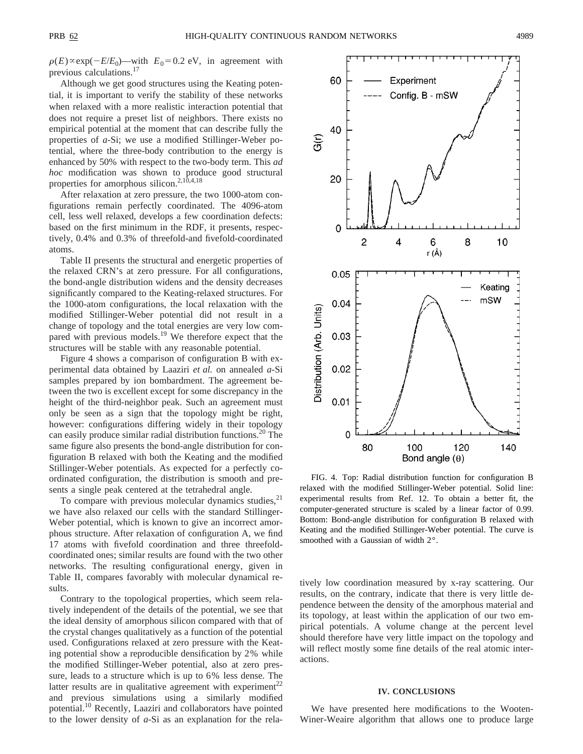$\rho(E) \propto \exp(-E/E_0)$ —with  $E_0 = 0.2$  eV, in agreement with previous calculations.17

Although we get good structures using the Keating potential, it is important to verify the stability of these networks when relaxed with a more realistic interaction potential that does not require a preset list of neighbors. There exists no empirical potential at the moment that can describe fully the properties of *a*-Si; we use a modified Stillinger-Weber potential, where the three-body contribution to the energy is enhanced by 50% with respect to the two-body term. This *ad hoc* modification was shown to produce good structural properties for amorphous silicon.<sup>2,10,4,18</sup>

After relaxation at zero pressure, the two 1000-atom configurations remain perfectly coordinated. The 4096-atom cell, less well relaxed, develops a few coordination defects: based on the first minimum in the RDF, it presents, respectively, 0.4% and 0.3% of threefold-and fivefold-coordinated atoms.

Table II presents the structural and energetic properties of the relaxed CRN's at zero pressure. For all configurations, the bond-angle distribution widens and the density decreases significantly compared to the Keating-relaxed structures. For the 1000-atom configurations, the local relaxation with the modified Stillinger-Weber potential did not result in a change of topology and the total energies are very low compared with previous models.<sup>19</sup> We therefore expect that the structures will be stable with any reasonable potential.

Figure 4 shows a comparison of configuration B with experimental data obtained by Laaziri *et al.* on annealed *a*-Si samples prepared by ion bombardment. The agreement between the two is excellent except for some discrepancy in the height of the third-neighbor peak. Such an agreement must only be seen as a sign that the topology might be right, however: configurations differing widely in their topology can easily produce similar radial distribution functions.<sup>20</sup> The same figure also presents the bond-angle distribution for configuration B relaxed with both the Keating and the modified Stillinger-Weber potentials. As expected for a perfectly coordinated configuration, the distribution is smooth and presents a single peak centered at the tetrahedral angle.

To compare with previous molecular dynamics studies,<sup>21</sup> we have also relaxed our cells with the standard Stillinger-Weber potential, which is known to give an incorrect amorphous structure. After relaxation of configuration A, we find 17 atoms with fivefold coordination and three threefoldcoordinated ones; similar results are found with the two other networks. The resulting configurational energy, given in Table II, compares favorably with molecular dynamical results.

Contrary to the topological properties, which seem relatively independent of the details of the potential, we see that the ideal density of amorphous silicon compared with that of the crystal changes qualitatively as a function of the potential used. Configurations relaxed at zero pressure with the Keating potential show a reproducible densification by 2% while the modified Stillinger-Weber potential, also at zero pressure, leads to a structure which is up to 6% less dense. The latter results are in qualitative agreement with experiment<sup>22</sup> and previous simulations using a similarly modified potential.10 Recently, Laaziri and collaborators have pointed to the lower density of *a*-Si as an explanation for the rela-



FIG. 4. Top: Radial distribution function for configuration B relaxed with the modified Stillinger-Weber potential. Solid line: experimental results from Ref. 12. To obtain a better fit, the computer-generated structure is scaled by a linear factor of 0.99. Bottom: Bond-angle distribution for configuration B relaxed with Keating and the modified Stillinger-Weber potential. The curve is smoothed with a Gaussian of width 2°.

tively low coordination measured by x-ray scattering. Our results, on the contrary, indicate that there is very little dependence between the density of the amorphous material and its topology, at least within the application of our two empirical potentials. A volume change at the percent level should therefore have very little impact on the topology and will reflect mostly some fine details of the real atomic interactions.

# **IV. CONCLUSIONS**

We have presented here modifications to the Wooten-Winer-Weaire algorithm that allows one to produce large